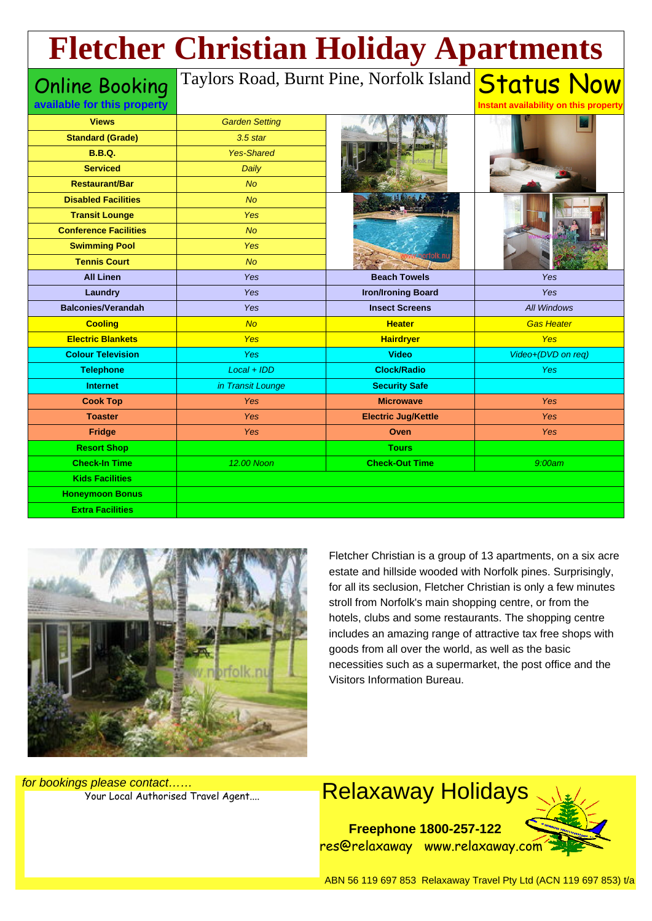## **Fletcher Christian Holiday Apartments**

Online Booking **available for this property**

## Taylors Road, Burnt Pine, Norfolk Island <mark>Status Now</mark>

| <b>Views</b>                 | <b>Garden Setting</b> |                            |                    |
|------------------------------|-----------------------|----------------------------|--------------------|
| <b>Standard (Grade)</b>      | $3.5$ star            |                            |                    |
| <b>B.B.Q.</b>                | <b>Yes-Shared</b>     |                            |                    |
| <b>Serviced</b>              | Daily                 |                            |                    |
| <b>Restaurant/Bar</b>        | <b>No</b>             |                            |                    |
| <b>Disabled Facilities</b>   | N <sub>O</sub>        |                            |                    |
| <b>Transit Lounge</b>        | <b>Yes</b>            |                            |                    |
| <b>Conference Facilities</b> | N <sub>O</sub>        |                            |                    |
| <b>Swimming Pool</b>         | <b>Yes</b>            |                            |                    |
| <b>Tennis Court</b>          | <b>No</b>             |                            |                    |
| <b>All Linen</b>             | Yes                   | <b>Beach Towels</b>        | Yes                |
| Laundry                      | Yes                   | <b>Iron/Ironing Board</b>  | Yes                |
| <b>Balconies/Verandah</b>    | Yes                   | <b>Insect Screens</b>      | <b>All Windows</b> |
| <b>Cooling</b>               | <b>No</b>             | <b>Heater</b>              | <b>Gas Heater</b>  |
| <b>Electric Blankets</b>     | <b>Yes</b>            | <b>Hairdryer</b>           | Yes                |
| <b>Colour Television</b>     | Yes                   | <b>Video</b>               | Video+(DVD on req) |
| <b>Telephone</b>             | $Local + IDD$         | <b>Clock/Radio</b>         | <b>Yes</b>         |
| <b>Internet</b>              | in Transit Lounge     | <b>Security Safe</b>       |                    |
| <b>Cook Top</b>              | <b>Yes</b>            | <b>Microwave</b>           | Yes                |
| <b>Toaster</b>               | Yes                   | <b>Electric Jug/Kettle</b> | Yes                |
| <b>Fridge</b>                | <b>Yes</b>            | Oven                       | Yes                |
| <b>Resort Shop</b>           |                       | <b>Tours</b>               |                    |
| <b>Check-In Time</b>         | 12.00 Noon            | <b>Check-Out Time</b>      | 9:00am             |
| <b>Kids Facilities</b>       |                       |                            |                    |
| <b>Honeymoon Bonus</b>       |                       |                            |                    |
| <b>Extra Facilities</b>      |                       |                            |                    |



Fletcher Christian is a group of 13 apartments, on a six acre estate and hillside wooded with Norfolk pines. Surprisingly, for all its seclusion, Fletcher Christian is only a few minutes stroll from Norfolk's main shopping centre, or from the hotels, clubs and some restaurants. The shopping centre includes an amazing range of attractive tax free shops with goods from all over the world, as well as the basic necessities such as a supermarket, the post office and the Visitors Information Bureau.

**Instant availability on this property**

for bookings please contact……